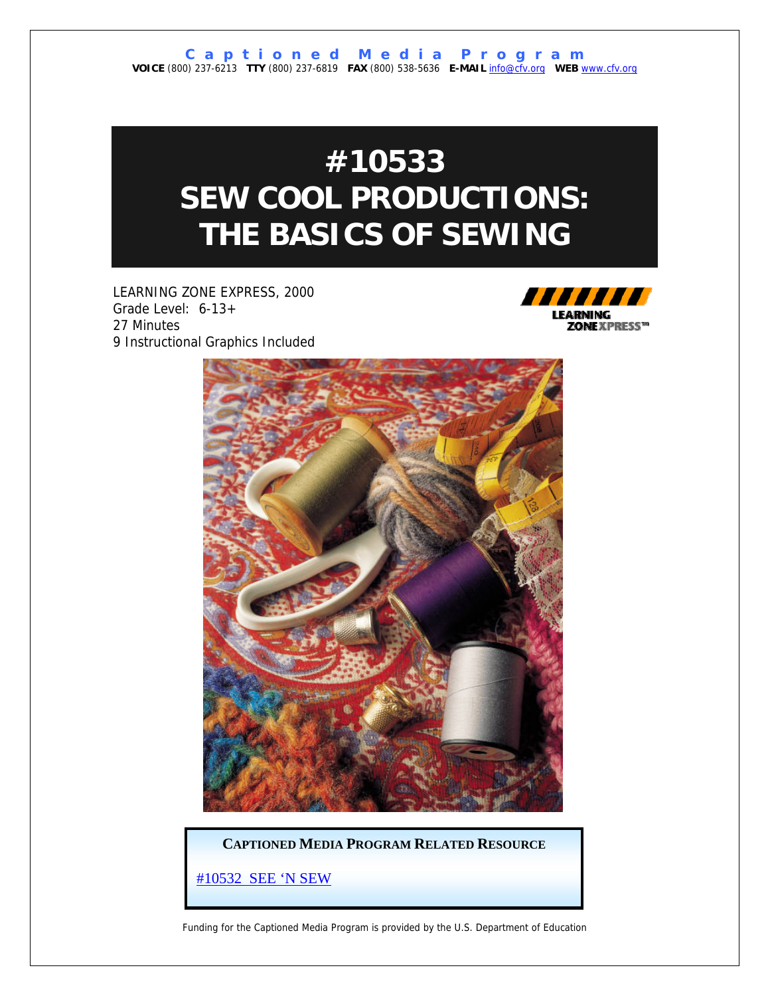### **#10533 SEW COOL PRODUCTIONS: THE BASICS OF SEWING**

LEARNING ZONE EXPRESS, 2000 Grade Level: 6-13+ 27 Minutes 9 Instructional Graphics Included





**CAPTIONED MEDIA PROGRAM RELATED RESOURCE**

[#10532 SEE 'N SEW](http://www.captionedmedia.org/titledetail.asp?dn=10532)

Funding for the Captioned Media Program is provided by the U.S. Department of Education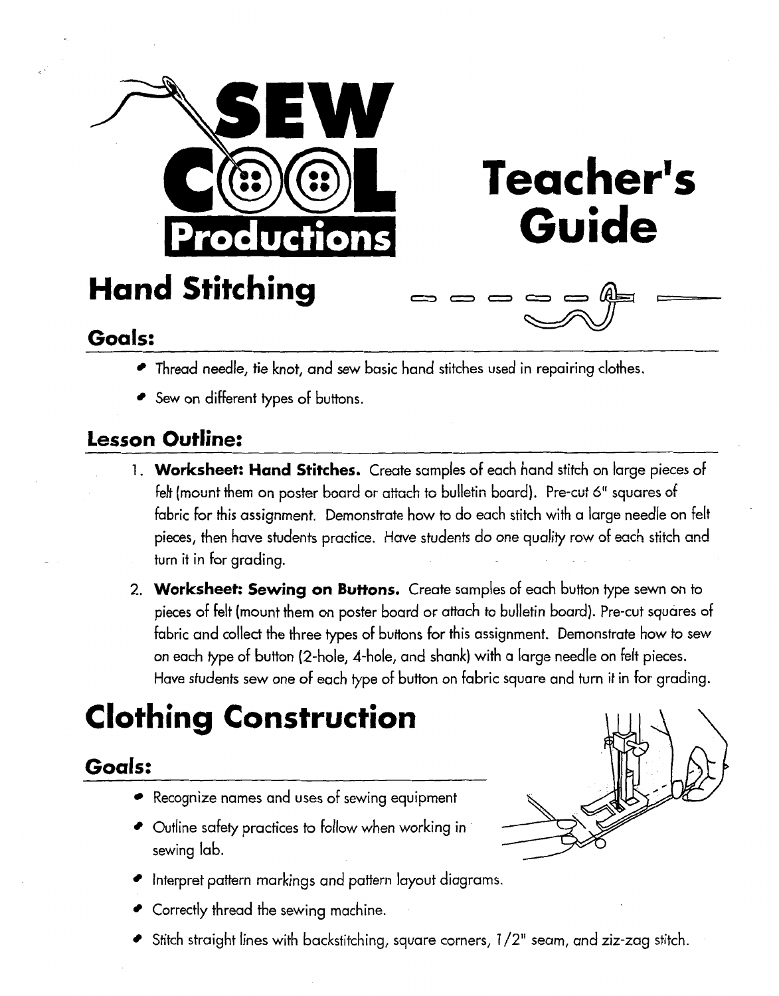

**Teacher's Guide** 

## **Hand Stitching**

- Thread needle, tie knot, and sew basic hand stitches used in repairing clothes.
- Sew on different types of buttons.

### **Lesson Outline:**

- 1. **Worksheet: Hand Stitches.** Create samples of each hand stitch on large pieces of felt (mount them on poster board or attach to bulletin board). Pre-cut 6" squares of fabric for this assignment. Demonstrate how to do each stitch with a large needle on felt pieces, then have students practice. Have students do one quality row of each stitch and turn it in for grading.
- 2. **Worksheer: Sewing on Butfons.** Create samples of each button type sewn on to pieces of felt (mount them on poster board or attach to bulletin board). Pre-cut squares of fabric and collect the three types of buttons for this assignment. Demonstrate how to sew on each type of button (2-hole, 4-hole, and shank) with a large needle on felt pieces. Have students sew one of each type of button on fabric square and turn it in for grading.

### **Clothing Construction**

### **Goals:**

- Recognize names and uses of sewing equipment
- Outline safety practices to follow when working in sewing lab.
- Interpret pattern markings and pattern layout diagrams.
- Correctly thread the sewing machine.
- $\bullet$  Stitch straight lines with backstitching, square corners,  $1/2$ " seam, and ziz-zag stitch.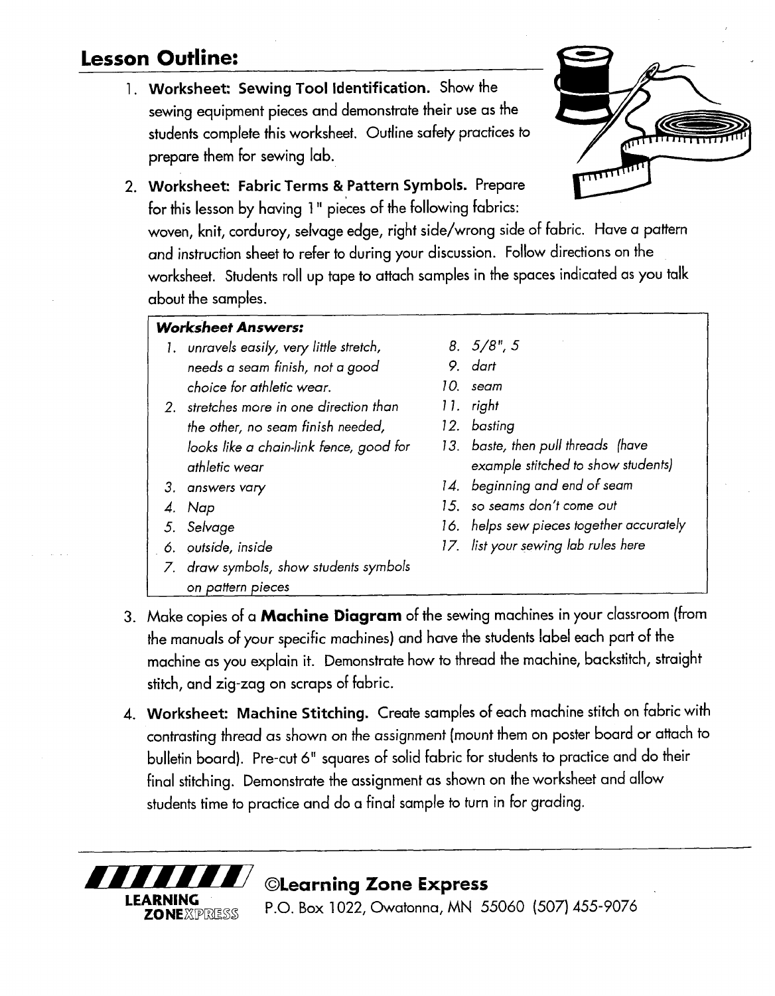### **Lesson Outline:**

**1. Worksheet: Sewing Tool identification.** Show the sewing equipment pieces and demonstrate their use as the students complete this worksheet, Outline safety practices to prepare them for sewing lab.



**2. Worksheet: Fabric Terms** & **Pattern Symbols.** Prepare for this lesson by having **1** " pieces of the following fabrics:

woven, knit, corduroy, selvage edge, right side/wrong side of fabric. Have a pattern and instruction sheet to refer to during your discussion. Follow directions on the worksheet. Students roll up tape to attach samples in the spaces indicated as you talk about the samples.

#### I **Worksheet Answers:**

- 1. unravels easily, very little stretch, needs a seam finish, not a good choice for athletic wear.
- 2. stretches more in one direction than the other, no seam finish needed, looks like a chain-link fence, good for athletic wear
- 3. answers vary
- $\overline{4}$ . Nap

 $\overline{a}$ 

- Selvage
- 6. outside, inside
- 7. draw symbols, show students symbols on pattern pieces
- 5/8 ", **<sup>5</sup>**
- 9. dart
- 10. seam
- $11.$  right
- 12. basting
- 13. baste, then pull threads (have example stitched to show students)
- 14. beginning and end of seam
- 15. so seams don't come out
- 16. helps sew pieces together accurately
- 17. list your sewing lab rules here
- 3. Make copies of a **Machine Diagram** of the sewing machines in your classroom (from the manuals of your specific machines) and have the students label each part of the machine as you explain it. Demonstrate how to thread the machine, backstitch, straight stitch, and zig-zag on scraps of fabric.
- 4. **Worksheet: Machine Stitching.** Create samples of each machine stitch on fabric with contrasting thread as shown on the assignment (mount them on poster board or attach to bulletin board). Pre-cut *6"* squares of solid fabric for students to practice and do their final stitching. Demonstrate the assignment as shown on the worksheet and allow students time to practice and do a final sample to turn in for grading.



P.O. Box 1022, Owatonna, MN 55060 (507) 455-9076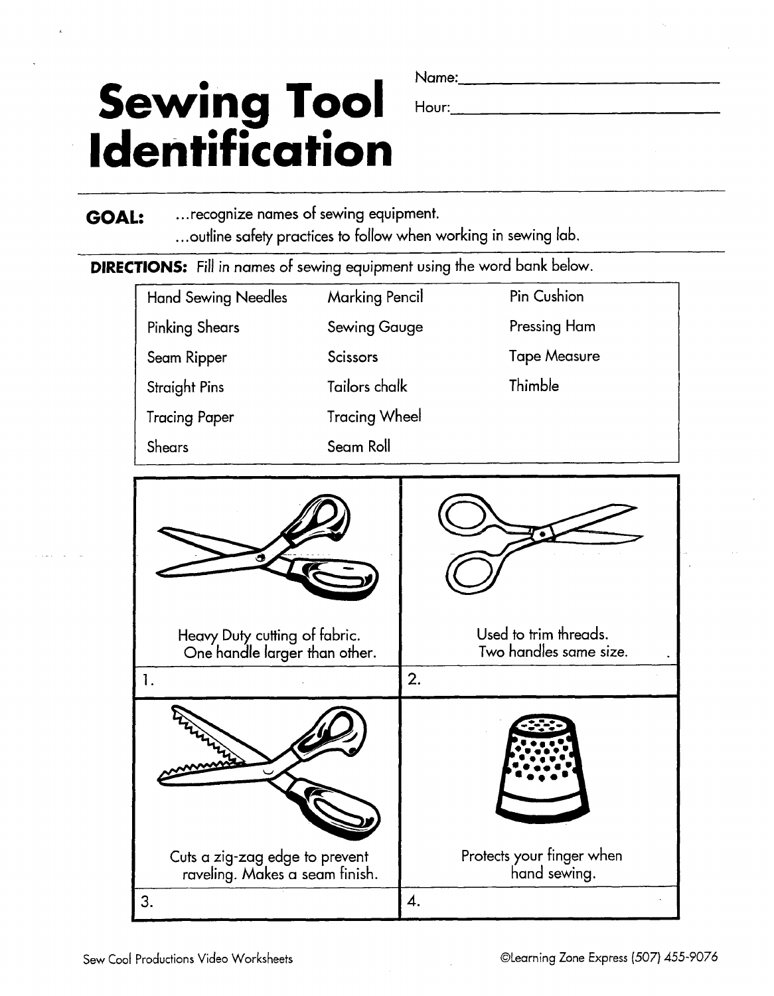# Sewing Tool **Identification**

**GOAL:** ... recognize names of sewing equipment. ... outline safety practices to follow when working in sewing lab.

**DIRECTIONS:** Fill in names of sewing equipment using the word bank below.

| <b>Hand Sewing Needles</b>                                     | <b>Marking Pencil</b> |    | Pin Cushion                                     |
|----------------------------------------------------------------|-----------------------|----|-------------------------------------------------|
| <b>Pinking Shears</b>                                          | <b>Sewing Gauge</b>   |    | Pressing Ham                                    |
| Seam Ripper                                                    | <b>Scissors</b>       |    | <b>Tape Measure</b>                             |
| <b>Straight Pins</b>                                           | Tailors chalk         |    | Thimble                                         |
| <b>Tracing Paper</b>                                           | <b>Tracing Wheel</b>  |    |                                                 |
| Shears                                                         | Seam Roll             |    |                                                 |
| Heavy Duty cutting of fabric.<br>One handle larger than other. |                       |    | Used to trim threads.<br>Two handles same size. |
| $\mathbf{1}$ .                                                 |                       | 2. |                                                 |
|                                                                |                       |    |                                                 |

 $\overline{4}$ .

**3.** 

Cuts a zig-zag edge to prevent raveling. Makes a seam finish. Protects your finger when hand sewing.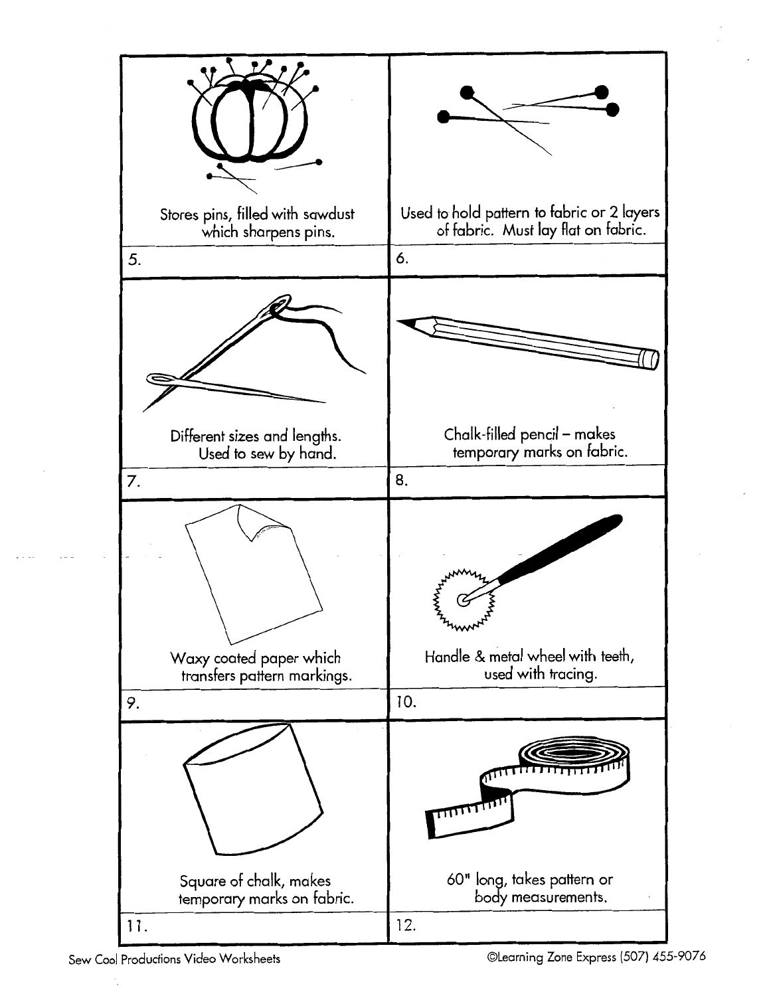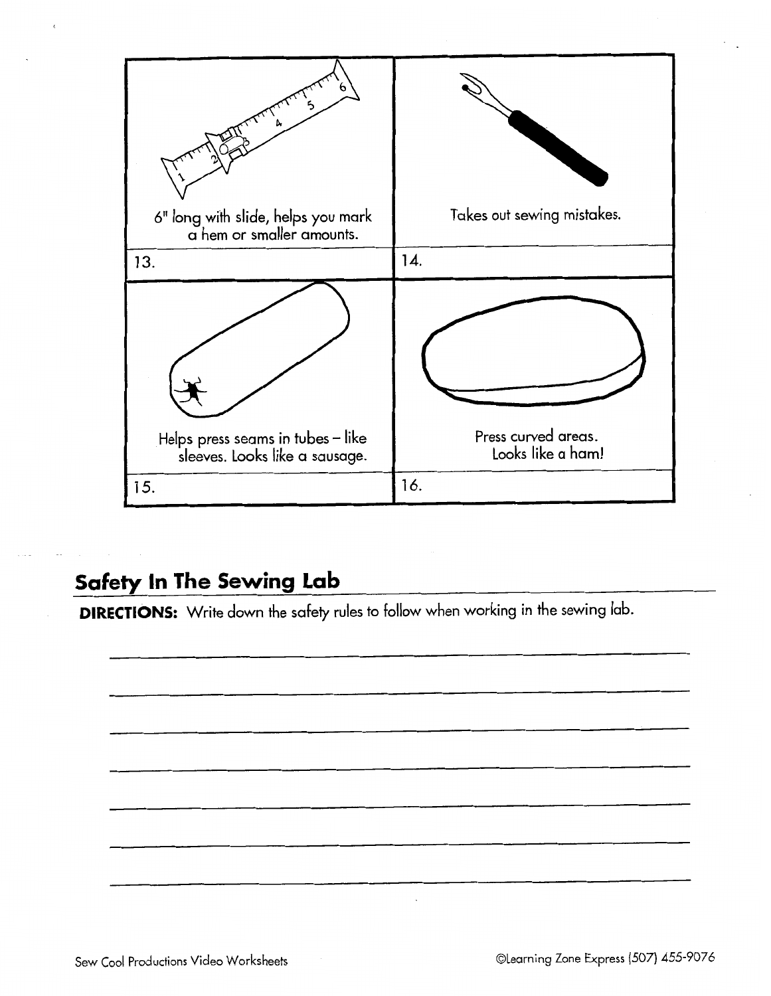

### **Safety In The Sewing Lab**

**DIRECTIONS:** Write down the safety rules to follow when working in the sewing lab.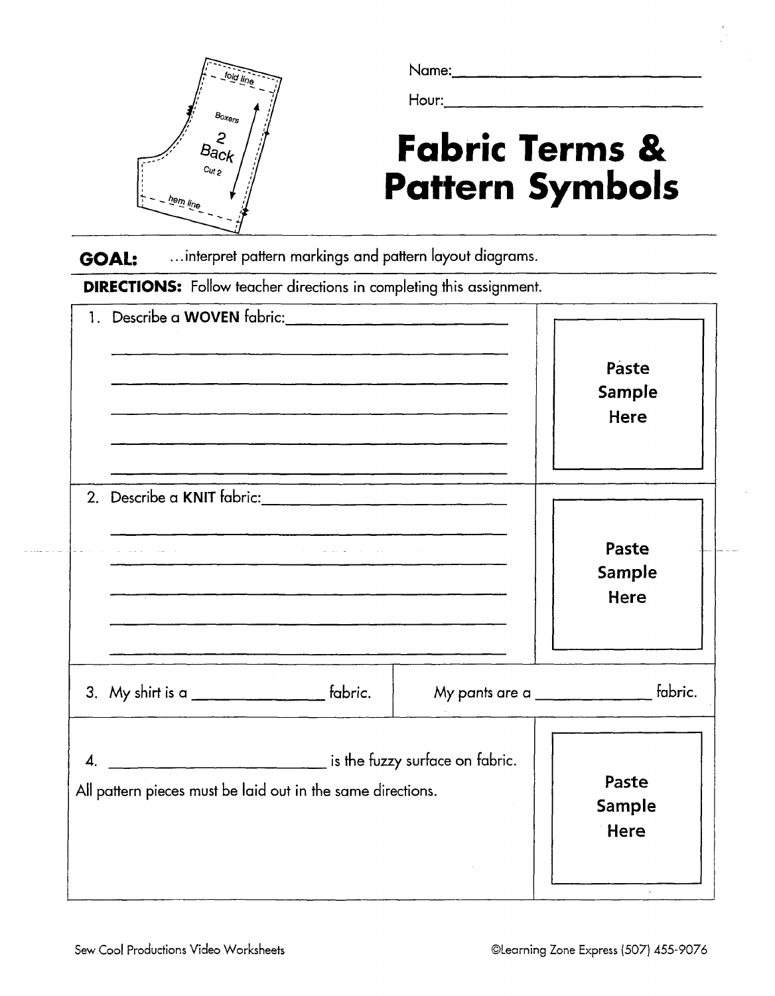

Name:

Hour:

# **Fabric Terms** & **Pattern Symbols**<br> **COAL:** ....interpret pattern markings and pattern layout diagrams.

...interpret pattern markings and pattern layout diagrams.

**DIRECTIONS:** Follow teacher directions in completing this assignment.

| 1. Describe a WOVEN fabric: _______________________________                                          | .<br>1980 - Paul Barnett, amerikansk politik (d. 1980)                                                                                                        | Paste<br>Sample<br>Here                         |
|------------------------------------------------------------------------------------------------------|---------------------------------------------------------------------------------------------------------------------------------------------------------------|-------------------------------------------------|
|                                                                                                      | والمتواصل والمتعارف والتقاعد فالمرادي<br><u> 1980 - Jan Berlin, Amerikaansk politiker (* 1905)</u><br><u> 2002 - John Barnett, fransk politiker (d. 1982)</u> | Paste<br>Sample<br>Here                         |
| 3. My shirt is a $\frac{1}{2}$ fabric.                                                               |                                                                                                                                                               | My pants are a ________________________ fabric. |
| is the fuzzy surface on fabric.<br>4.<br>All pattern pieces must be laid out in the same directions. |                                                                                                                                                               | Paste<br><b>Sample</b><br>Here                  |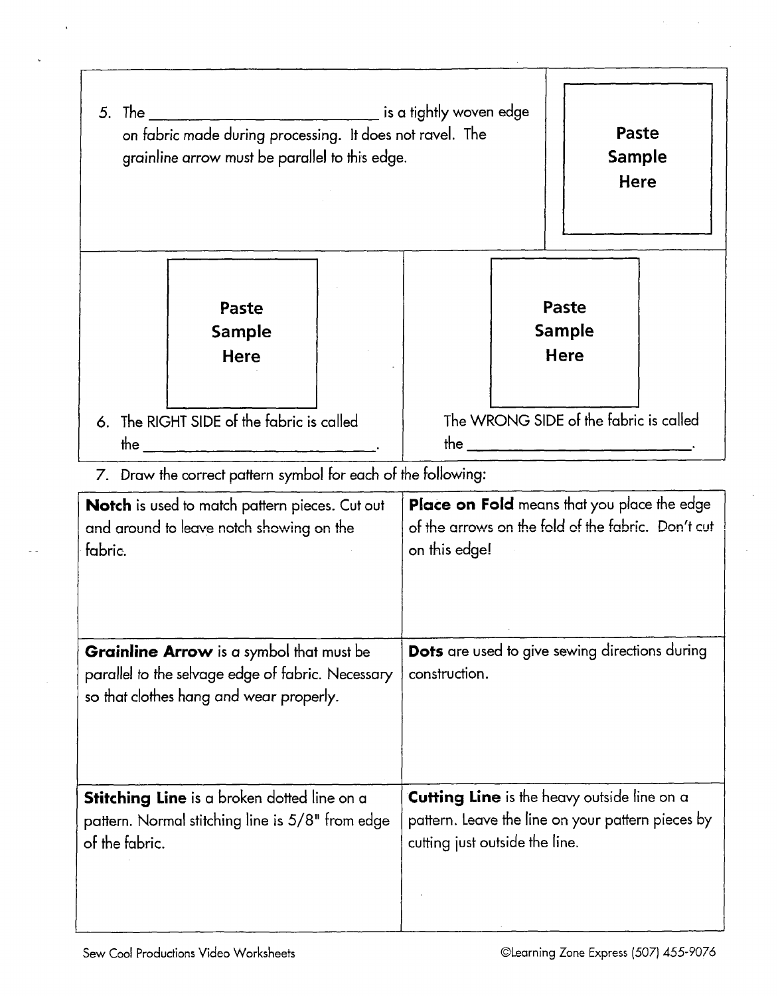| on fabric made during processing. It does not ravel. The<br>grainline arrow must be parallel to this edge.                               |                                                               |                                                                                                                           |                                                                                                                                           | Paste<br><b>Sample</b><br>Here |                                       |  |
|------------------------------------------------------------------------------------------------------------------------------------------|---------------------------------------------------------------|---------------------------------------------------------------------------------------------------------------------------|-------------------------------------------------------------------------------------------------------------------------------------------|--------------------------------|---------------------------------------|--|
|                                                                                                                                          | Paste<br><b>Sample</b><br><b>Here</b>                         |                                                                                                                           |                                                                                                                                           |                                | Paste<br><b>Sample</b><br><b>Here</b> |  |
|                                                                                                                                          | 6. The RIGHT SIDE of the fabric is called                     |                                                                                                                           | The WRONG SIDE of the fabric is called                                                                                                    |                                |                                       |  |
|                                                                                                                                          | 7. Draw the correct pattern symbol for each of the following: |                                                                                                                           |                                                                                                                                           |                                |                                       |  |
| <b>Notch</b> is used to match pattern pieces. Cut out<br>and around to leave notch showing on the<br>fabric.                             |                                                               | <b>Place on Fold</b> means that you place the edge<br>of the arrows on the fold of the fabric. Don't cut<br>on this edge! |                                                                                                                                           |                                |                                       |  |
| Grainline Arrow is a symbol that must be<br>parallel to the selvage edge of fabric. Necessary<br>so that clothes hang and wear properly. |                                                               | <b>Dots</b> are used to give sewing directions during<br>construction.                                                    |                                                                                                                                           |                                |                                       |  |
| <b>Stitching Line</b> is a broken dotted line on a<br>pattern. Normal stitching line is 5/8" from edge<br>of the fabric.                 |                                                               |                                                                                                                           | <b>Cutting Line</b> is the heavy outside line on a<br>pattern. Leave the line on your pattern pieces by<br>cutting just outside the line. |                                |                                       |  |

l,

 $\lambda$ 

 $\ddot{\phantom{a}}$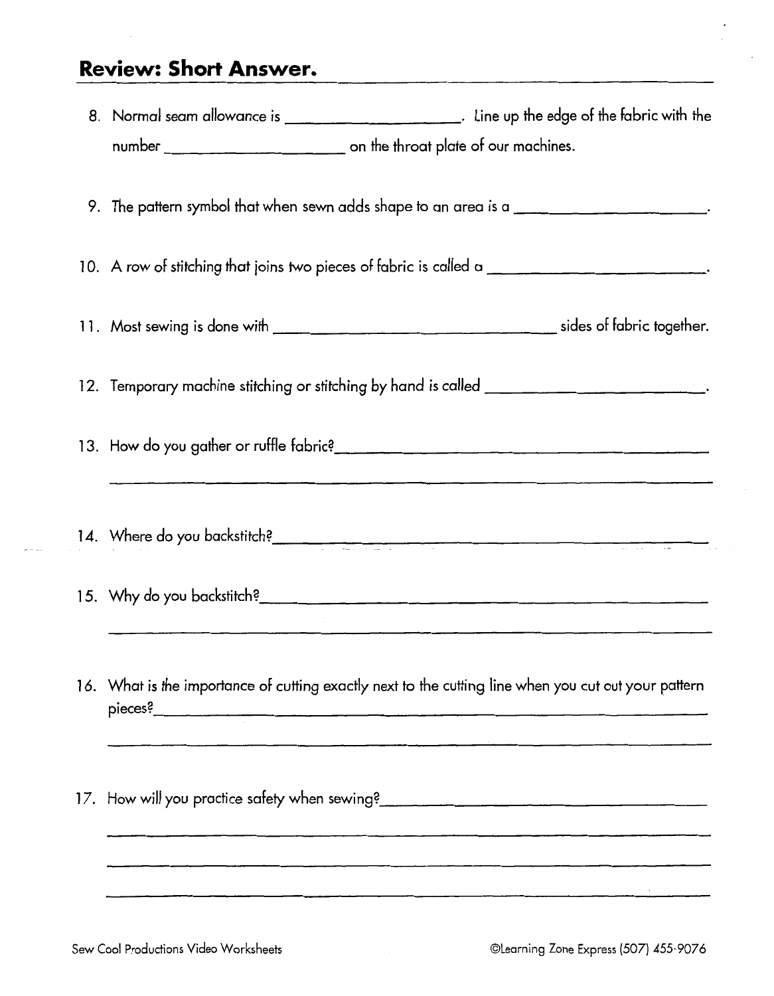### **Review: Short Answer.**

| 8. Normal seam allowance is ___________________________. Line up the edge of the fabric with the     |  |  |  |  |
|------------------------------------------------------------------------------------------------------|--|--|--|--|
|                                                                                                      |  |  |  |  |
|                                                                                                      |  |  |  |  |
| 9. The pattern symbol that when sewn adds shape to an area is a __________________________.          |  |  |  |  |
|                                                                                                      |  |  |  |  |
| 10. A row of stitching that joins two pieces of fabric is called a ________________________________  |  |  |  |  |
|                                                                                                      |  |  |  |  |
|                                                                                                      |  |  |  |  |
| 12. Temporary machine stitching or stitching by hand is called __________________                    |  |  |  |  |
|                                                                                                      |  |  |  |  |
|                                                                                                      |  |  |  |  |
|                                                                                                      |  |  |  |  |
| 14. Where do you backstitch?                                                                         |  |  |  |  |
|                                                                                                      |  |  |  |  |
|                                                                                                      |  |  |  |  |
| <u> 1990 - Johann John Harrison, martin al-Amerikaansk filosof (</u>                                 |  |  |  |  |
| 16. What is the importance of cutting exactly next to the cutting line when you cut out your pattern |  |  |  |  |
|                                                                                                      |  |  |  |  |
|                                                                                                      |  |  |  |  |
|                                                                                                      |  |  |  |  |
|                                                                                                      |  |  |  |  |
|                                                                                                      |  |  |  |  |
|                                                                                                      |  |  |  |  |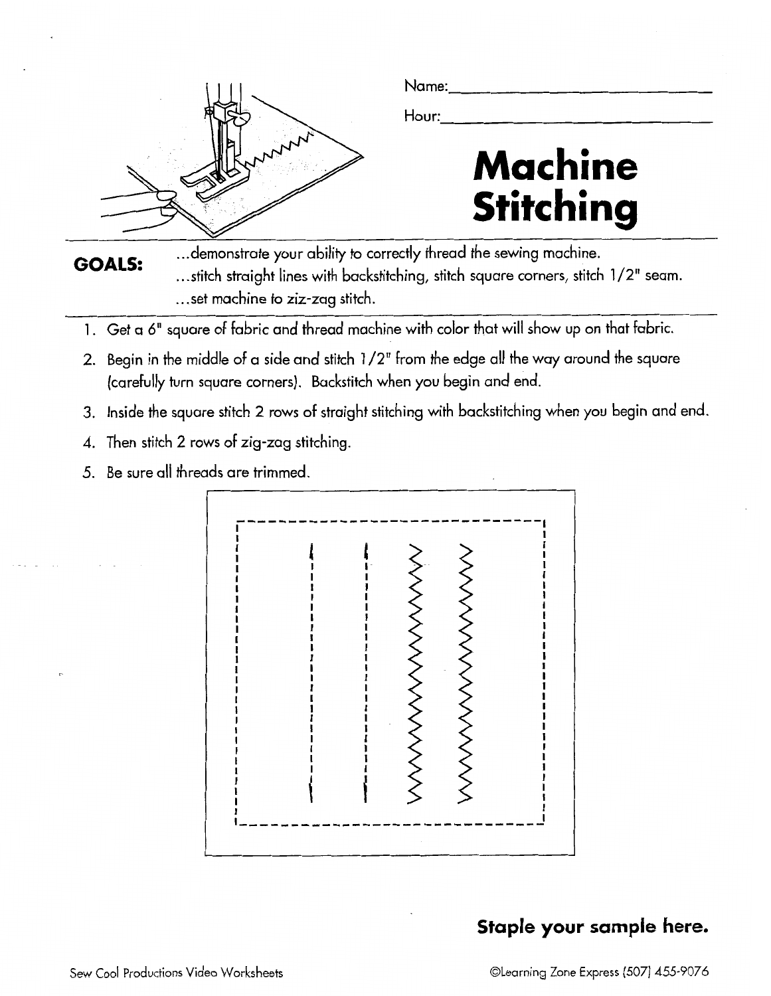

**GOALS:** 

... demonstrate your ability to correctly thread the sewing machine.

...stitch straight lines with backstitching, stitch square corners, stitch 1/2" seam.<br>...set machine to ziz-zag stitch.

- I. Get a *6"* square of fabric and thread machine with color that will show up on that fabric.
- 2. Begin in the middle of a side and stitch 1/2" from the edge all the way around the square (carefully turn square corners). Backstitch when you begin and end.
- 3. Inside the square stitch 2 rows of straight stitching with backstitching when you begin and end.
- 4. Then stitch 2 rows of zig-zag stitching.
- 5. Be sure all threads are trimmed.



### **Staple your sample here.**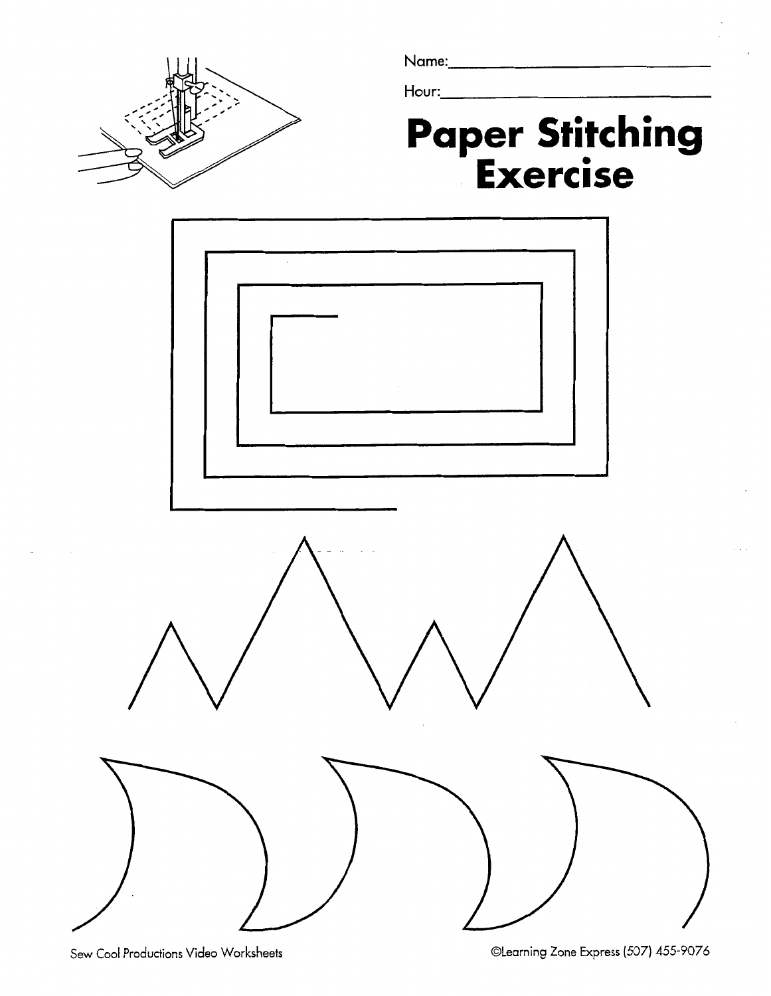

Name:

Hour:

## **Paper Stitching Exercise**

the contract of the contract of the contract of

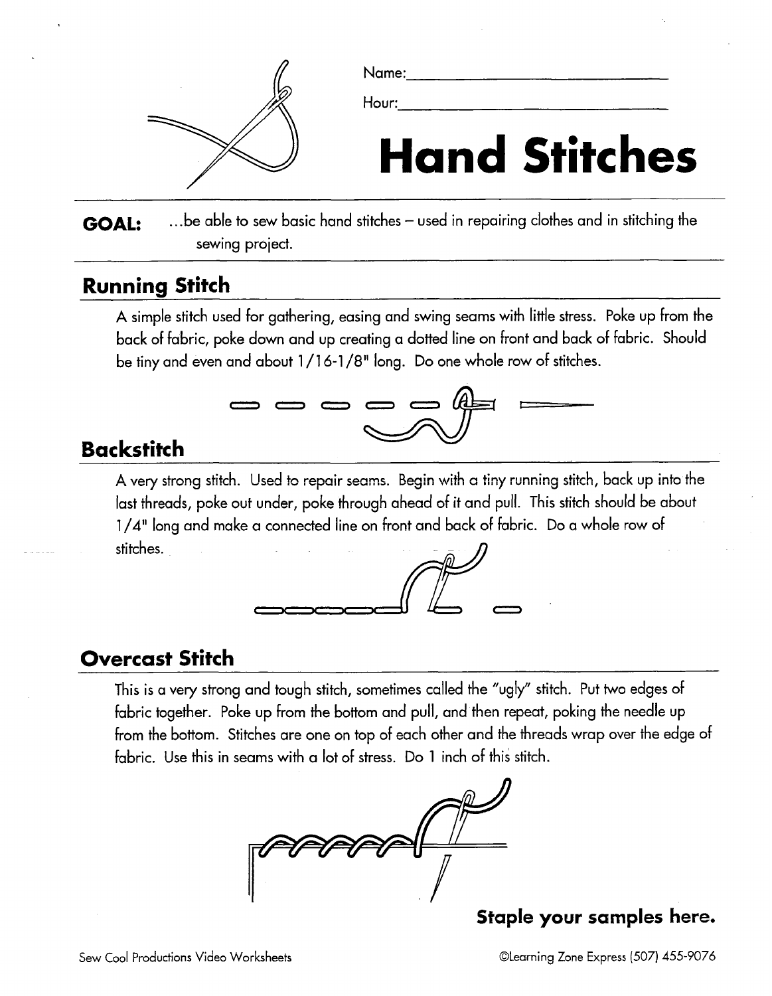

Name:

Hour:

# **Hand Stitches**

**GOAL:** ... be able to sew basic hand stitches – used in repairing clothes and in stitching the sewing project.

### **Running Stitch**

A simple stitch used for gathering, easing and swing seams with little stress. Poke up from the back of fabric, poke down and up creating a dotted line on front and back of fabric. Should be tiny and even and about 1 /I 6-1 /8" long. Do one whole row of stitches.



### **Backstitch**

Name:<br>
Hanne:<br>
Hannes:<br>
The Hourry Hours of the State of State of State of State of the State of the State of the State of the State of the State of the State of the State of the State of the State of the State of the Stat A very strong stitch. Used to repair seams. Begin with a tiny running stitch, back up into the last threads, poke out under, poke through ahead of it and pull. This stitch should be about 1 /A" long and make **a** connected line on front and back of fabric. Do a whole row of stitches.



### **Overcast Stitch**

This is a very strong and tough stitch, sometimes called the "ugly" stitch. Put two edges of fabric together. Poke up from the bottom and pull, and then repeat, poking the needle up from the bottom. Stitches are one on top of each other and the threads wrap over the edge of fabric. Use this in seams with a lot of stress. Do 1 inch of this stitch.



**Staple your samples here.**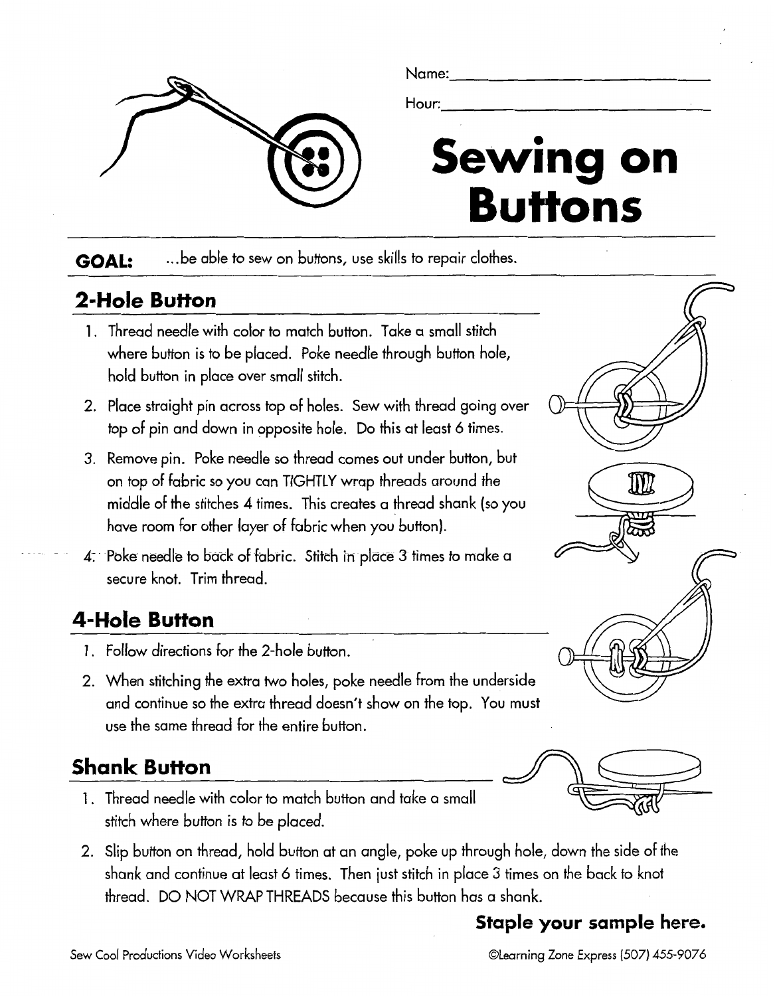

GOAL: ... be able to sew on buttons, use skills to repair clothes.

### **2-Hole Bufton**

- I. Thread needle with color to match button. Take a small stitch where button is to be placed. Poke needle through button hole, hold button in place over small stitch.
- 2. Place straight pin across top of holes. Sew with thread going over top of pin and down in opposite hole. Do this at least 6 times.
- **3.** Remove pin. Poke needle so thread comes out under button, but on top of fabric so you can TIGHTLY wrap threads around the middle of the stitches **4** times. This creates a thread shank (so you have room for other layer of fabric when you button).
- **4:** Poke needle to back of fabric. Stitch in place **3** times to make a secure knot. Trim thread.

### **4-Hole Button**

- I. Follow directions for the 2-hole button.
- 2. When stitching the extra two holes, poke needle from the underside and continue so the extra thread doesn't show on the top. You must use the same thread for the entire button.

### **Shank Button**

- I. Thread needle with color to match button and take a small stitch where button is to be placed.
- 2. Slip button on thread, hold button at an angle, poke up through hole, down the side of the shank and continue at least 6 times. Then just stitch in place 3 times on the back to knot thread. DO NOT WRAP THREADS because this button has a shank.

### **Staple your sample here.**

#### Sew Cool Productions Video Worksheets **by Cooling 2008** @Learning Zone Express (507) 455-9076



 ${\rm I\!I\!I\!I}$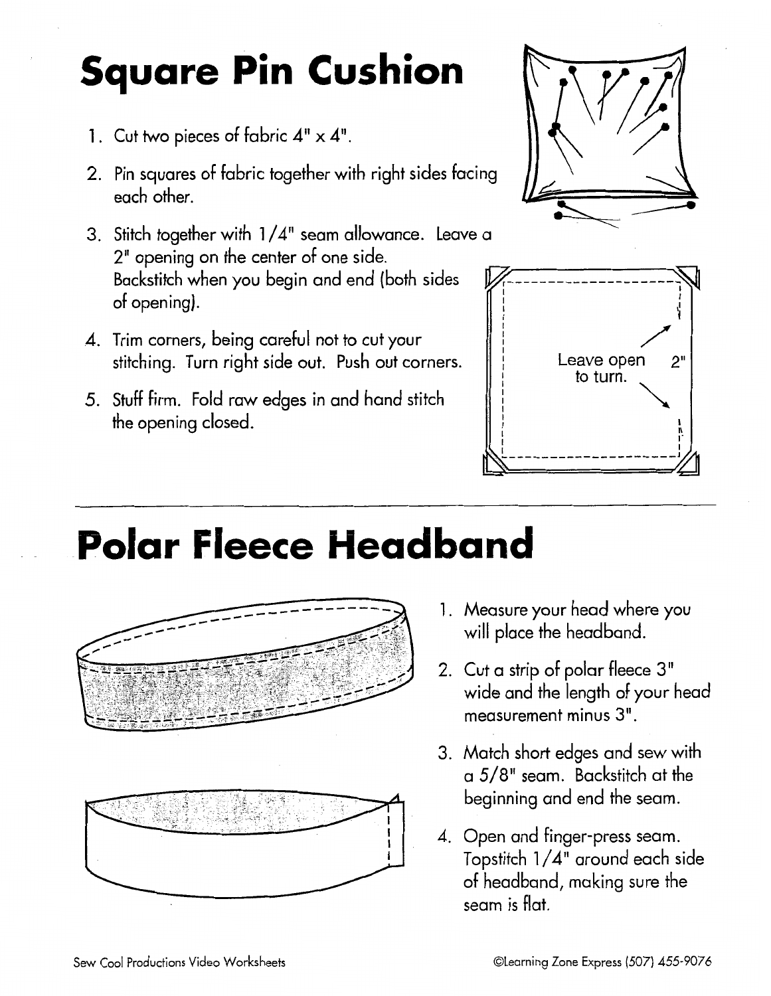# **Square Pin Cushion**

- 1. Cut two pieces of fabric  $4" \times 4"$ .
- 2. Pin squares of fabric together with right sides facing each other.
- 3. Stitch together with  $1/4$ " seam allowance. Leave a 2" opening on the center of one side. Backstitch when you begin and end (both sides of opening) .
- 4. Trim corners, being careful not to cut your stitching. Turn right side out. Push out corners.
- Stuff firm. Fold raw edges in and hand stitch the opening closed.





## . - **Polar Fleece Headband**



- 1. Measure your head where you will place the headband.
- 2. Cut a strip of polar fleece 3" wide and the length of your head measurement minus 3".
- 3. Match short edges and sew with a 5/8" seam. Backstitch at the beginning and end the seam.
- 4. Open and finger-press seam. Topstitch 1 /4" around each side of headband, making sure the seam is flat.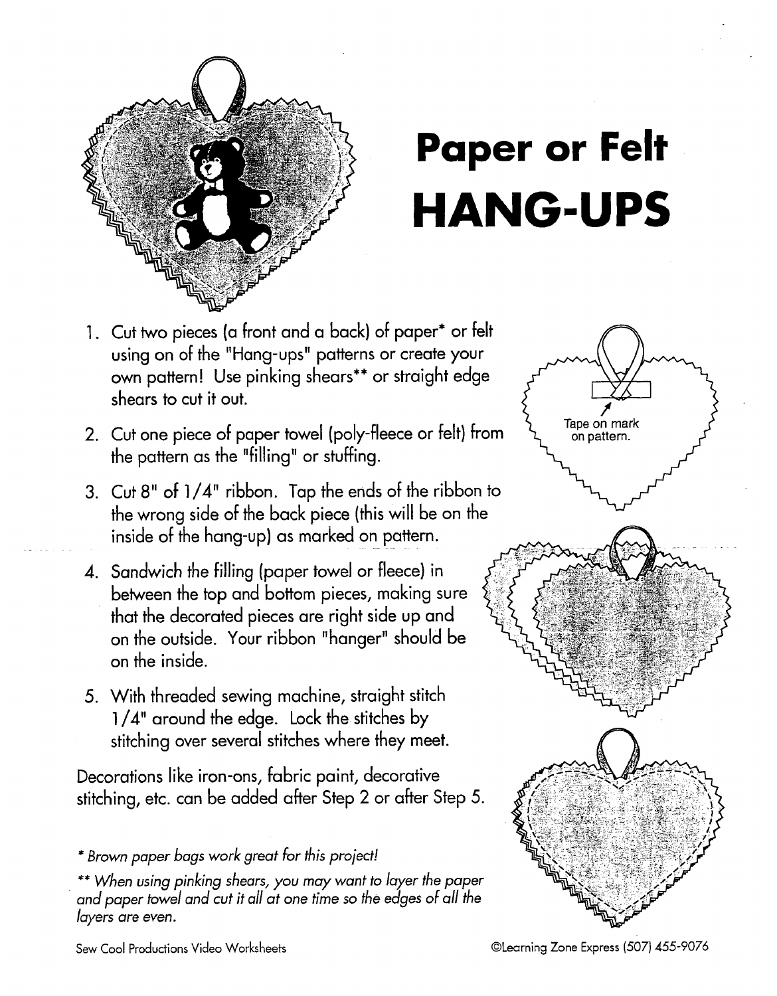

# **Paper or Felt HANG-UPS**

- Cut two pieces (a front and a back) of paper\* or felt using on of the "Hang-ups" patterns or create your own pattern! Use pinking shears\*' or straight edge shears to cut it out.
- Tape on mark 2. Cut one piece of paper towel (poly-fleece or felt) from  $\overrightarrow{A}$  Tape on mark the pattern as the "filling' or stuffing.
- 3. Cut 8" of 1/4" ribbon. Tap the ends of the ribbon to the wrong side of the back piece (this will be on the inside of the hang-up) as marked on pattern.
- Sandwich the filling (paper towel or fleece) in between the top and bottom pieces, making sure that the decorated pieces are right side up and on the outside. Your ribbon "hanger" should be on the inside.
- With threaded sewing machine, straight stitch 1/4" around the edge. Lock the stitches by stitching over several stitches where they meet.

Decorations like iron-ons, fabric paint, decorative stitching, etc. can be added after Step 2 or after Step 5.

\*\* When using pinking shears, you may want to layer the paper and paper towel and cut it all at one time so the edges of all the layers are even.



<sup>\*</sup> Brown paper bags work great for this project!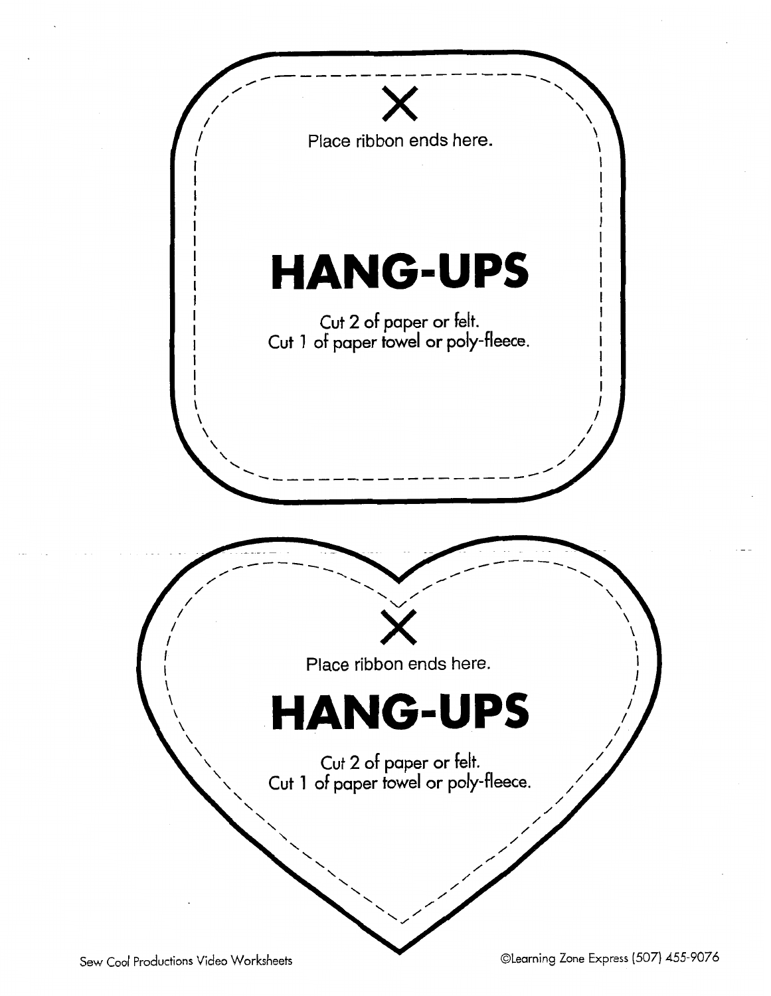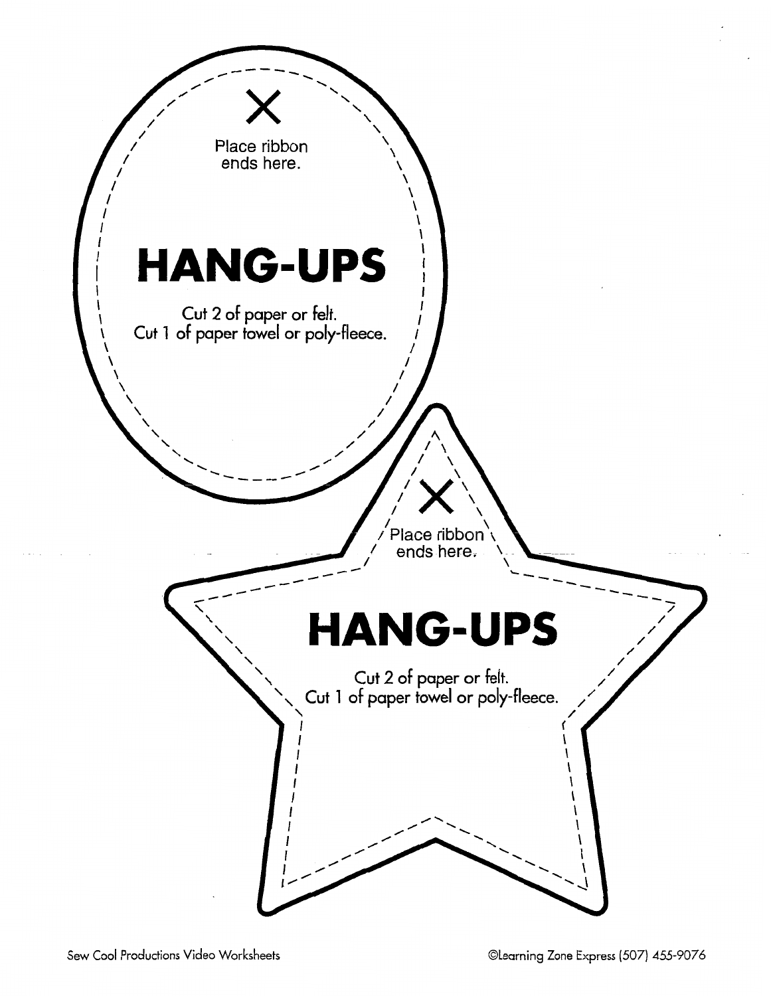